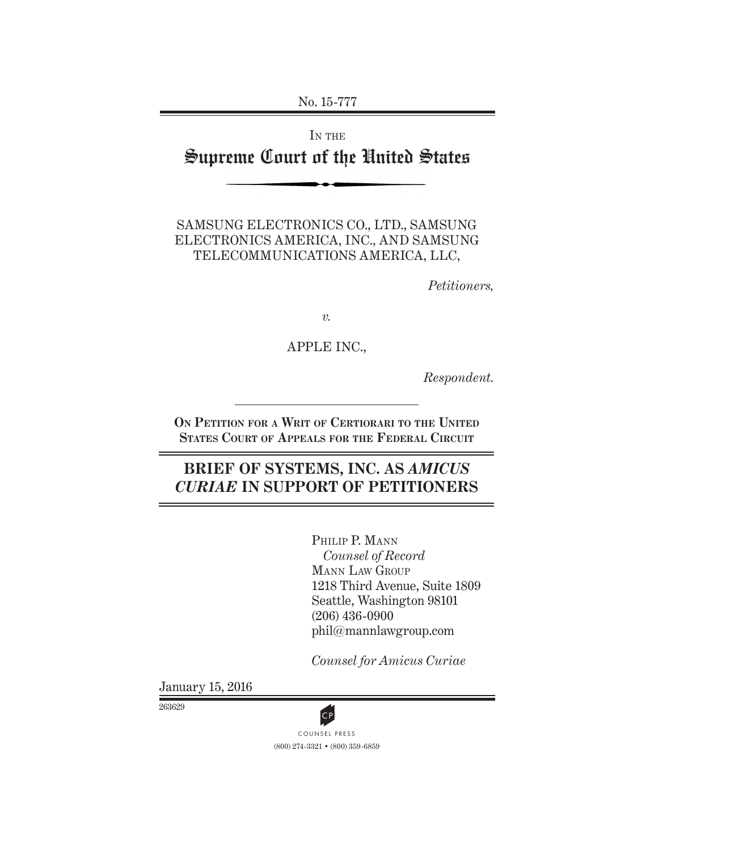No. 15-777

# IN THE Supreme Court of the United States

SAMSUNG ELECTRONICS CO., LTD., SAMSUNG ELECTRONICS AMERICA, INC., AND SAMSUNG TELECOMMUNICATIONS AMERICA, LLC,

*Petitioners,*

*v.*

APPLE INC.,

*Respondent.*

**On Petition for a Writ of Certiorari to the United States Court of Appeals for the Federal Circuit**

# **BRIEF OF SYSTEMS, INC. AS** *AMICUS CURIAE* **IN SUPPORT OF PETITIONERS**

PHILIP P. MANN *Counsel of Record* Mann Law Group 1218 Third Avenue, Suite 1809 Seattle, Washington 98101 (206) 436-0900 phil@mannlawgroup.com

*Counsel for Amicus Curiae*

January 15, 2016

263629



(800) 274-3321 • (800) 359-6859 CP<br>COUNSEL PRESS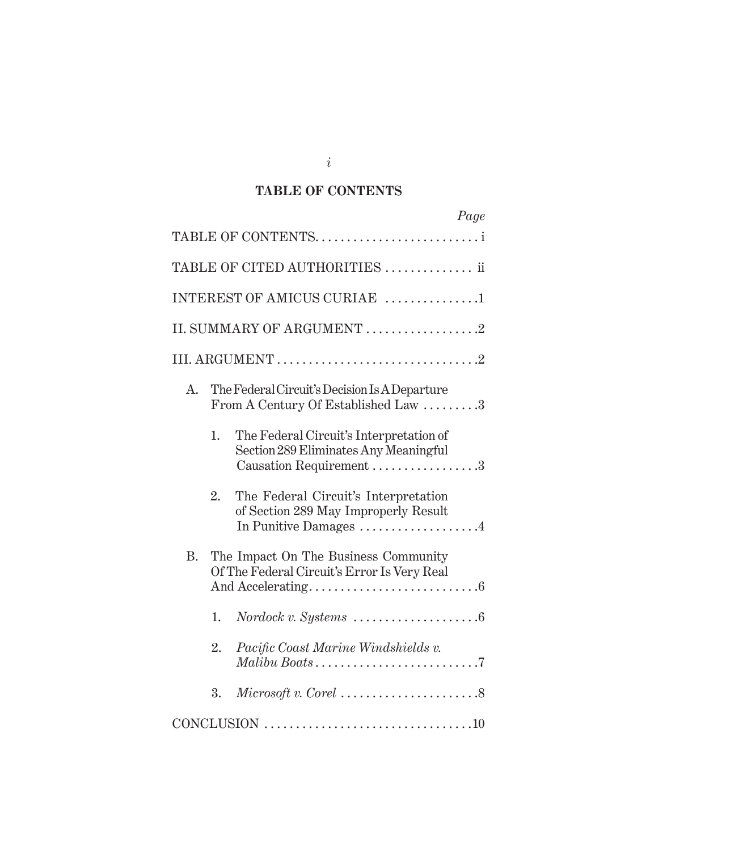## **TABLE OF CONTENTS**

|                |    | Page                                                                                                        |
|----------------|----|-------------------------------------------------------------------------------------------------------------|
|                |    | TABLE OF CONTENTS                                                                                           |
|                |    | TABLE OF CITED AUTHORITIES  ii                                                                              |
|                |    | INTEREST OF AMICUS CURIAE 1                                                                                 |
|                |    | II. SUMMARY OF ARGUMENT 2                                                                                   |
|                |    |                                                                                                             |
| A <sub>1</sub> |    | The Federal Circuit's Decision Is A Departure<br>From A Century Of Established Law 3                        |
|                | 1. | The Federal Circuit's Interpretation of<br>Section 289 Eliminates Any Meaningful<br>Causation Requirement 3 |
|                | 2. | The Federal Circuit's Interpretation<br>of Section 289 May Improperly Result<br>In Punitive Damages 4       |
| <b>B.</b>      |    | The Impact On The Business Community<br>Of The Federal Circuit's Error Is Very Real                         |
|                | 1. |                                                                                                             |
|                | 2. | Pacific Coast Marine Windshields v.                                                                         |
|                | 3. | $Microsoft v. Core 1.$                                                                                      |
|                |    |                                                                                                             |

*i*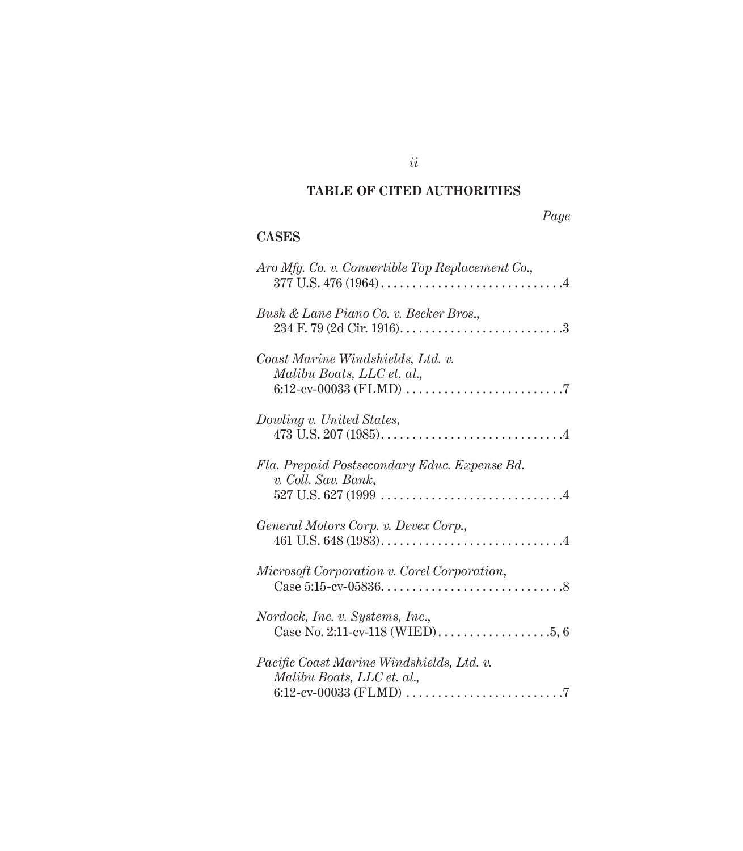## **TABLE OF CITED AUTHORITIES**

# *Page*

## **CASES**

| Aro Mfg. Co. v. Convertible Top Replacement Co.,                                                                                                |
|-------------------------------------------------------------------------------------------------------------------------------------------------|
| Bush & Lane Piano Co. v. Becker Bros.,                                                                                                          |
| Coast Marine Windshields, Ltd. v.<br>Malibu Boats, LLC et. al.,                                                                                 |
| Dowling v. United States,                                                                                                                       |
| Fla. Prepaid Postsecondary Educ. Expense Bd.<br>v. Coll. Sav. Bank,                                                                             |
| General Motors Corp. v. Devex Corp.,                                                                                                            |
| Microsoft Corporation v. Corel Corporation,                                                                                                     |
| Nordock, Inc. v. Systems, Inc.,                                                                                                                 |
| Pacific Coast Marine Windshields, Ltd. v.<br>Malibu Boats, LLC et. al.,<br>6:12-cv-00033 (FLMD) $\dots\dots\dots\dots\dots\dots\dots\dots\dots$ |

*ii*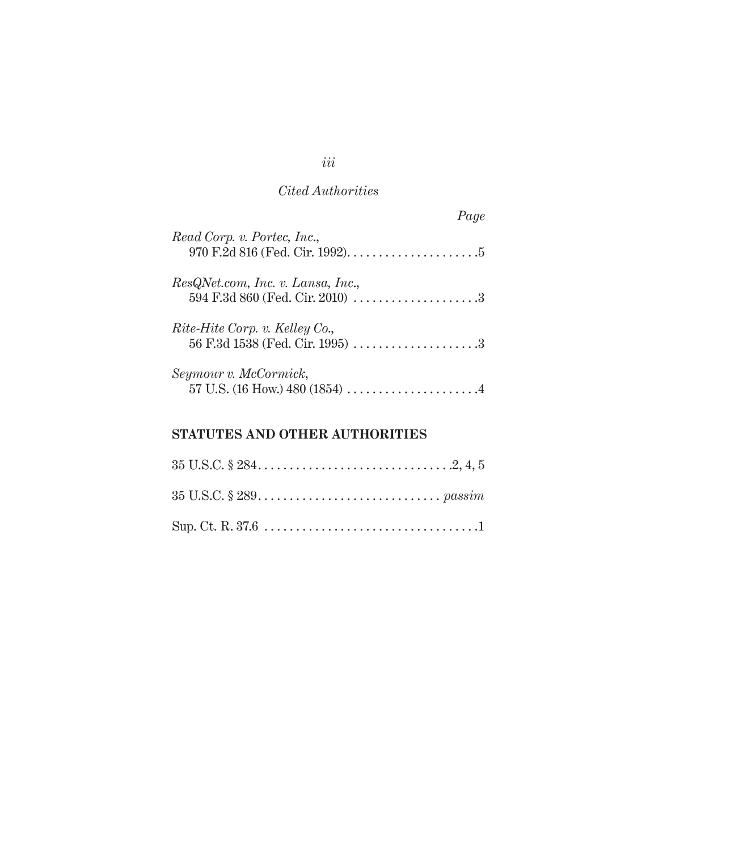## *Cited Authorities*

| Page                                                                                                           |  |
|----------------------------------------------------------------------------------------------------------------|--|
| Read Corp. v. Portec, Inc.,                                                                                    |  |
| ResQNet.com, Inc. v. Lansa, Inc.,<br>594 F.3d 860 (Fed. Cir. 2010) $\ldots \ldots \ldots \ldots \ldots \ldots$ |  |
| Rite-Hite Corp. v. Kelley Co.,                                                                                 |  |
| Seymour v. McCormick,                                                                                          |  |

# **STATUTES AND OTHER AUTHORITIES**

*iii*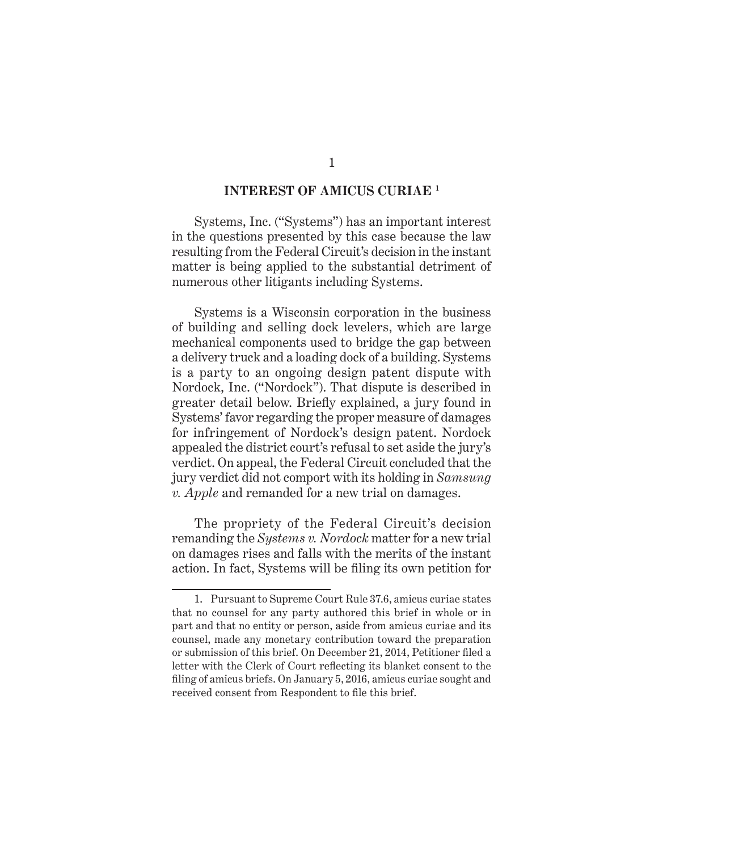### **INTEREST OF AMICUS CURIAE 1**

Systems, Inc. ("Systems") has an important interest in the questions presented by this case because the law resulting from the Federal Circuit's decision in the instant matter is being applied to the substantial detriment of numerous other litigants including Systems.

Systems is a Wisconsin corporation in the business of building and selling dock levelers, which are large mechanical components used to bridge the gap between a delivery truck and a loading dock of a building. Systems is a party to an ongoing design patent dispute with Nordock, Inc. ("Nordock"). That dispute is described in greater detail below. Briefly explained, a jury found in Systems' favor regarding the proper measure of damages for infringement of Nordock's design patent. Nordock appealed the district court's refusal to set aside the jury's verdict. On appeal, the Federal Circuit concluded that the jury verdict did not comport with its holding in *Samsung v. Apple* and remanded for a new trial on damages.

The propriety of the Federal Circuit's decision remanding the *Systems v. Nordock* matter for a new trial on damages rises and falls with the merits of the instant action. In fact, Systems will be filing its own petition for

<sup>1.</sup> Pursuant to Supreme Court Rule 37.6, amicus curiae states that no counsel for any party authored this brief in whole or in part and that no entity or person, aside from amicus curiae and its counsel, made any monetary contribution toward the preparation or submission of this brief. On December 21, 2014, Petitioner filed a letter with the Clerk of Court reflecting its blanket consent to the filing of amicus briefs. On January 5, 2016, amicus curiae sought and received consent from Respondent to file this brief.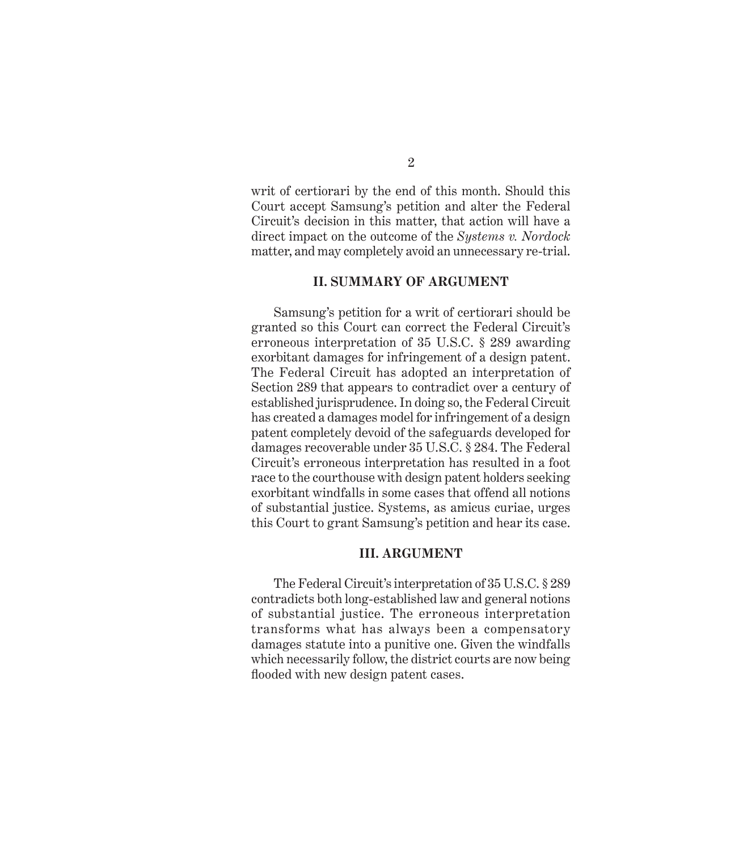writ of certiorari by the end of this month. Should this Court accept Samsung's petition and alter the Federal Circuit's decision in this matter, that action will have a direct impact on the outcome of the *Systems v. Nordock* matter, and may completely avoid an unnecessary re-trial.

#### **II. SUMMARY OF ARGUMENT**

Samsung's petition for a writ of certiorari should be granted so this Court can correct the Federal Circuit's erroneous interpretation of 35 U.S.C. § 289 awarding exorbitant damages for infringement of a design patent. The Federal Circuit has adopted an interpretation of Section 289 that appears to contradict over a century of established jurisprudence. In doing so, the Federal Circuit has created a damages model for infringement of a design patent completely devoid of the safeguards developed for damages recoverable under 35 U.S.C. § 284. The Federal Circuit's erroneous interpretation has resulted in a foot race to the courthouse with design patent holders seeking exorbitant windfalls in some cases that offend all notions of substantial justice. Systems, as amicus curiae, urges this Court to grant Samsung's petition and hear its case.

#### **III. ARGUMENT**

The Federal Circuit's interpretation of 35 U.S.C. § 289 contradicts both long-established law and general notions of substantial justice. The erroneous interpretation transforms what has always been a compensatory damages statute into a punitive one. Given the windfalls which necessarily follow, the district courts are now being flooded with new design patent cases.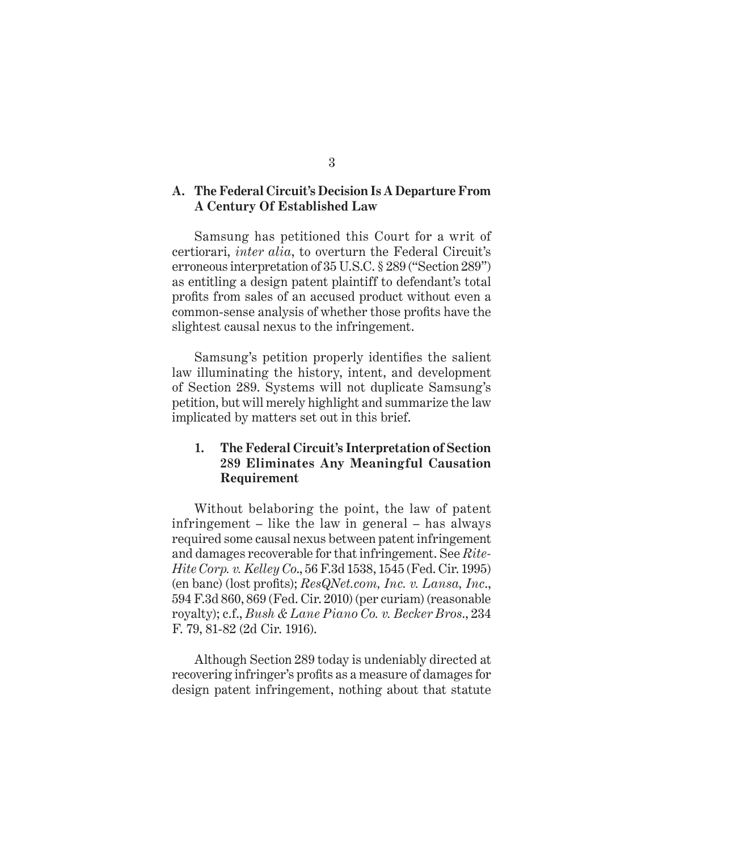### **A. The Federal Circuit's Decision Is A Departure From A Century Of Established Law**

Samsung has petitioned this Court for a writ of certiorari, *inter alia*, to overturn the Federal Circuit's erroneous interpretation of 35 U.S.C. § 289 ("Section 289") as entitling a design patent plaintiff to defendant's total profits from sales of an accused product without even a common-sense analysis of whether those profits have the slightest causal nexus to the infringement.

Samsung's petition properly identifies the salient law illuminating the history, intent, and development of Section 289. Systems will not duplicate Samsung's petition, but will merely highlight and summarize the law implicated by matters set out in this brief.

## **1. The Federal Circuit's Interpretation of Section 289 Eliminates Any Meaningful Causation Requirement**

Without belaboring the point, the law of patent infringement – like the law in general – has always required some causal nexus between patent infringement and damages recoverable for that infringement. See *Rite-Hite Corp. v. Kelley Co*., 56 F.3d 1538, 1545 (Fed. Cir. 1995) (en banc) (lost profits); *ResQNet.com, Inc. v. Lansa, Inc*., 594 F.3d 860, 869 (Fed. Cir. 2010) (per curiam) (reasonable royalty); c.f., *Bush & Lane Piano Co. v. Becker Bros*., 234 F. 79, 81-82 (2d Cir. 1916).

Although Section 289 today is undeniably directed at recovering infringer's profits as a measure of damages for design patent infringement, nothing about that statute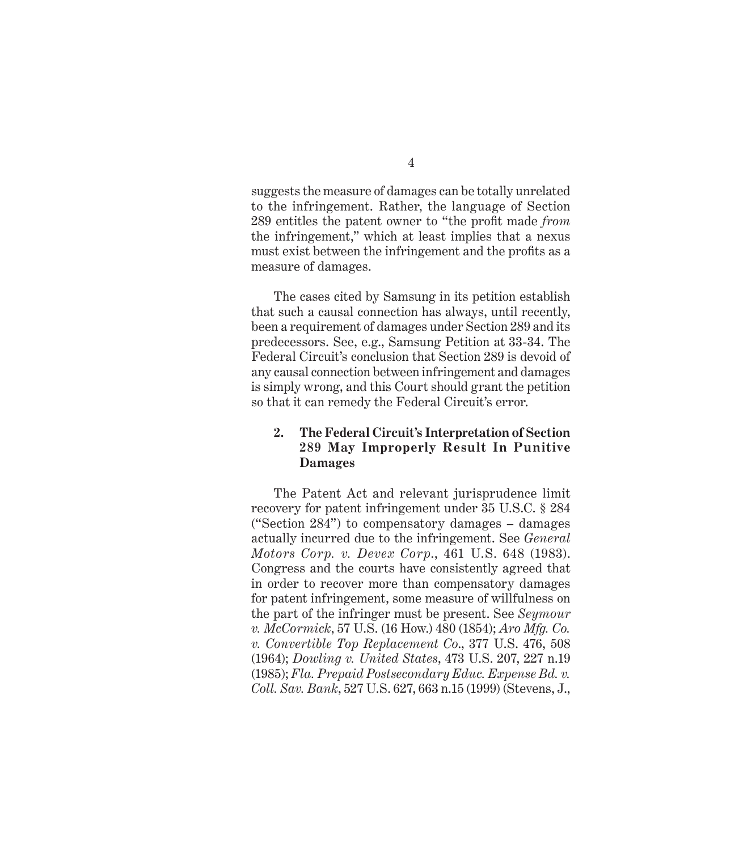suggests the measure of damages can be totally unrelated to the infringement. Rather, the language of Section 289 entitles the patent owner to "the profit made *from* the infringement," which at least implies that a nexus must exist between the infringement and the profits as a measure of damages.

The cases cited by Samsung in its petition establish that such a causal connection has always, until recently, been a requirement of damages under Section 289 and its predecessors. See, e.g., Samsung Petition at 33-34. The Federal Circuit's conclusion that Section 289 is devoid of any causal connection between infringement and damages is simply wrong, and this Court should grant the petition so that it can remedy the Federal Circuit's error.

## **2. The Federal Circuit's Interpretation of Section 289 May Improperly Result In Punitive Damages**

The Patent Act and relevant jurisprudence limit recovery for patent infringement under 35 U.S.C. § 284 ("Section 284") to compensatory damages – damages actually incurred due to the infringement. See *General Motors Corp. v. Devex Corp*., 461 U.S. 648 (1983). Congress and the courts have consistently agreed that in order to recover more than compensatory damages for patent infringement, some measure of willfulness on the part of the infringer must be present. See *Seymour v. McCormick*, 57 U.S. (16 How.) 480 (1854); *Aro Mfg. Co. v. Convertible Top Replacement Co*., 377 U.S. 476, 508 (1964); *Dowling v. United States*, 473 U.S. 207, 227 n.19 (1985); *Fla. Prepaid Postsecondary Educ. Expense Bd. v. Coll. Sav. Bank*, 527 U.S. 627, 663 n.15 (1999) (Stevens, J.,

## 4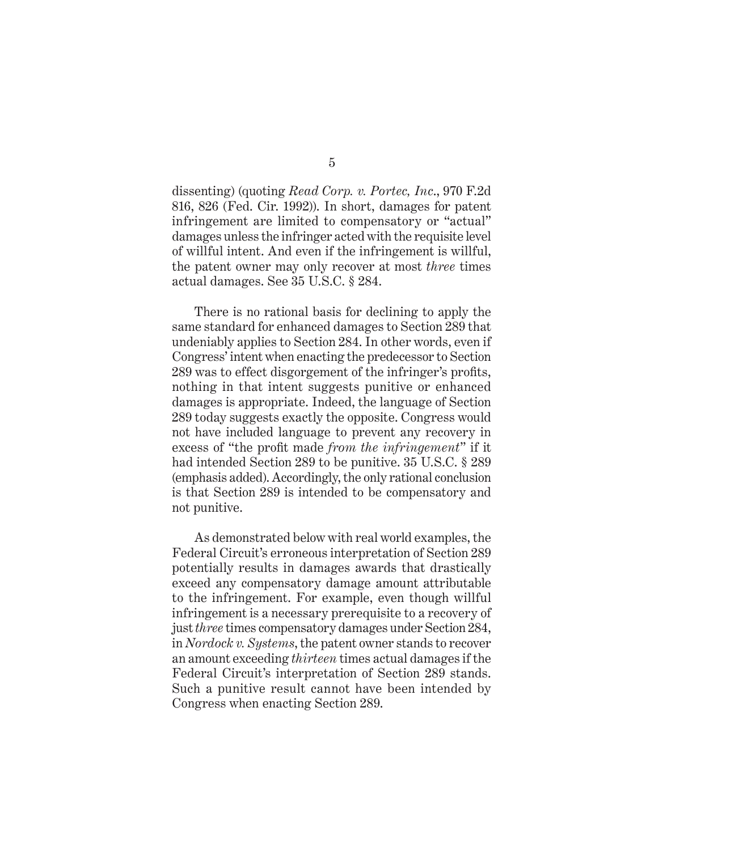dissenting) (quoting *Read Corp. v. Portec, Inc*., 970 F.2d 816, 826 (Fed. Cir. 1992)). In short, damages for patent infringement are limited to compensatory or "actual" damages unless the infringer acted with the requisite level of willful intent. And even if the infringement is willful, the patent owner may only recover at most *three* times actual damages. See 35 U.S.C. § 284.

There is no rational basis for declining to apply the same standard for enhanced damages to Section 289 that undeniably applies to Section 284. In other words, even if Congress' intent when enacting the predecessor to Section 289 was to effect disgorgement of the infringer's profits, nothing in that intent suggests punitive or enhanced damages is appropriate. Indeed, the language of Section 289 today suggests exactly the opposite. Congress would not have included language to prevent any recovery in excess of "the profit made *from the infringement*" if it had intended Section 289 to be punitive. 35 U.S.C. § 289 (emphasis added). Accordingly, the only rational conclusion is that Section 289 is intended to be compensatory and not punitive.

As demonstrated below with real world examples, the Federal Circuit's erroneous interpretation of Section 289 potentially results in damages awards that drastically exceed any compensatory damage amount attributable to the infringement. For example, even though willful infringement is a necessary prerequisite to a recovery of just *three* times compensatory damages under Section 284, in *Nordock v. Systems*, the patent owner stands to recover an amount exceeding *thirteen* times actual damages if the Federal Circuit's interpretation of Section 289 stands. Such a punitive result cannot have been intended by Congress when enacting Section 289.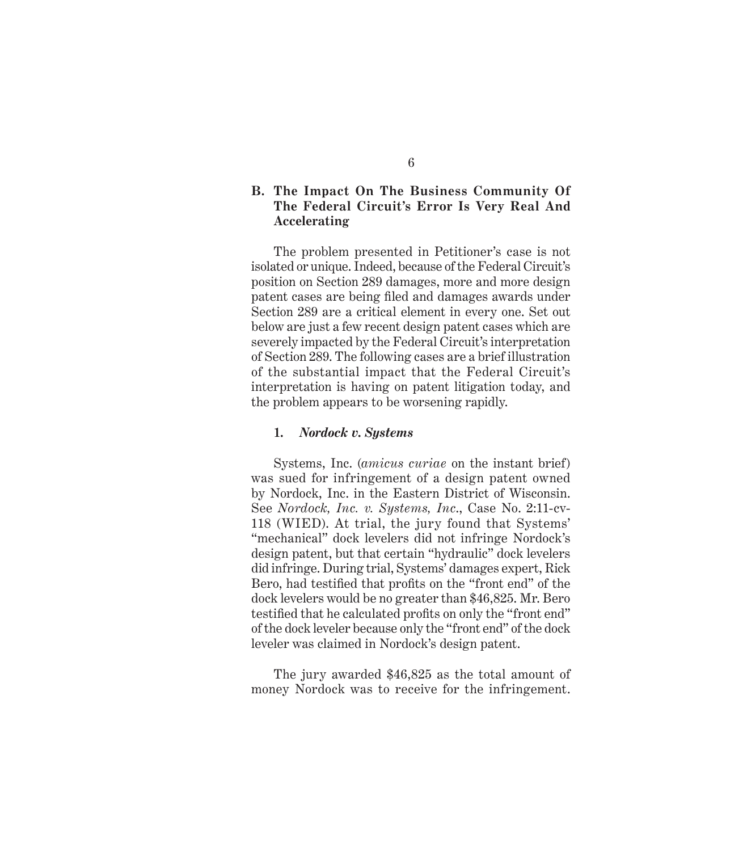### **B. The Impact On The Business Community Of The Federal Circuit's Error Is Very Real And Accelerating**

The problem presented in Petitioner's case is not isolated or unique. Indeed, because of the Federal Circuit's position on Section 289 damages, more and more design patent cases are being filed and damages awards under Section 289 are a critical element in every one. Set out below are just a few recent design patent cases which are severely impacted by the Federal Circuit's interpretation of Section 289. The following cases are a brief illustration of the substantial impact that the Federal Circuit's interpretation is having on patent litigation today, and the problem appears to be worsening rapidly.

#### **1.** *Nordock v. Systems*

Systems, Inc. (*amicus curiae* on the instant brief) was sued for infringement of a design patent owned by Nordock, Inc. in the Eastern District of Wisconsin. See *Nordock, Inc. v. Systems, Inc*., Case No. 2:11-cv-118 (WIED). At trial, the jury found that Systems' "mechanical" dock levelers did not infringe Nordock's design patent, but that certain "hydraulic" dock levelers did infringe. During trial, Systems' damages expert, Rick Bero, had testified that profits on the "front end" of the dock levelers would be no greater than \$46,825. Mr. Bero testified that he calculated profits on only the "front end" of the dock leveler because only the "front end" of the dock leveler was claimed in Nordock's design patent.

The jury awarded \$46,825 as the total amount of money Nordock was to receive for the infringement.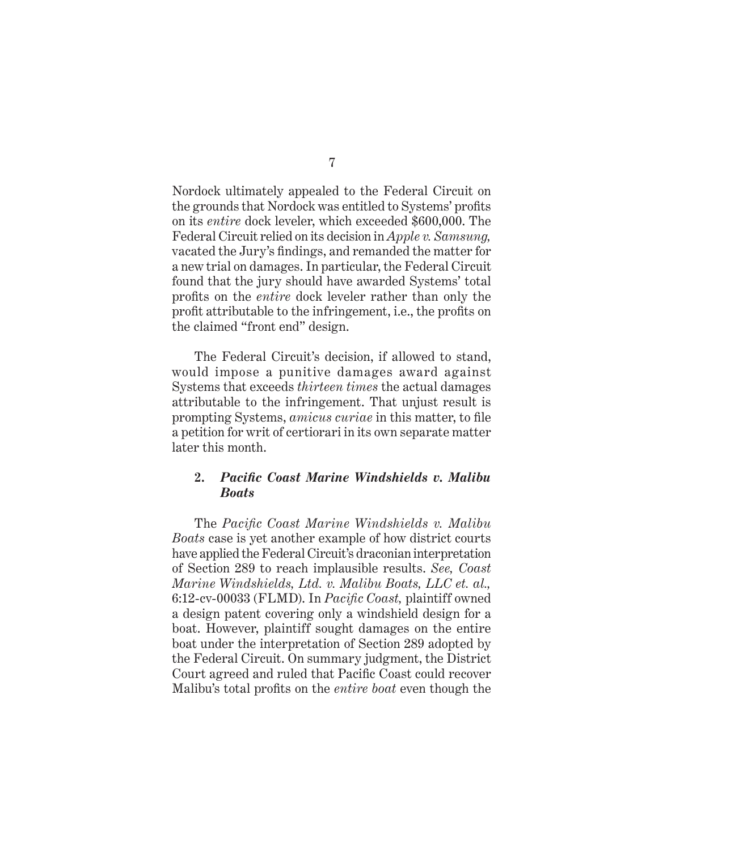Nordock ultimately appealed to the Federal Circuit on the grounds that Nordock was entitled to Systems' profits on its *entire* dock leveler, which exceeded \$600,000. The Federal Circuit relied on its decision in *Apple v. Samsung,*  vacated the Jury's findings, and remanded the matter for a new trial on damages. In particular, the Federal Circuit found that the jury should have awarded Systems' total profits on the *entire* dock leveler rather than only the profit attributable to the infringement, i.e., the profits on the claimed "front end" design.

The Federal Circuit's decision, if allowed to stand, would impose a punitive damages award against Systems that exceeds *thirteen times* the actual damages attributable to the infringement. That unjust result is prompting Systems, *amicus curiae* in this matter, to file a petition for writ of certiorari in its own separate matter later this month.

## **2.** *Pacific Coast Marine Windshields v. Malibu Boats*

The *Pacific Coast Marine Windshields v. Malibu Boats* case is yet another example of how district courts have applied the Federal Circuit's draconian interpretation of Section 289 to reach implausible results. *See, Coast Marine Windshields, Ltd. v. Malibu Boats, LLC et. al.,*  6:12-cv-00033 (FLMD). In *Pacific Coast,* plaintiff owned a design patent covering only a windshield design for a boat. However, plaintiff sought damages on the entire boat under the interpretation of Section 289 adopted by the Federal Circuit. On summary judgment, the District Court agreed and ruled that Pacific Coast could recover Malibu's total profits on the *entire boat* even though the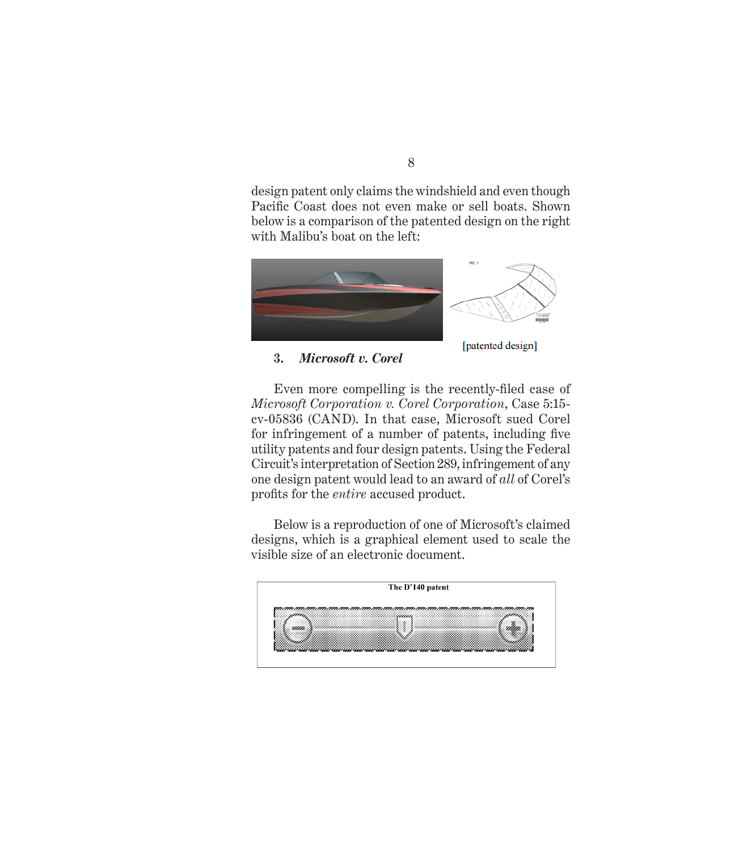design patent only claims the windshield and even though Pacific Coast does not even make or sell boats. Shown below is a comparison of the patented design on the right with Malibu's boat on the left:



**3.** *Microsoft v. Corel*

[patented design]

Even more compelling is the recently-filed case of *Microsoft Corporation v. Corel Corporation*, Case 5:15 cv-05836 (CAND). In that case, Microsoft sued Corel for infringement of a number of patents, including five utility patents and four design patents. Using the Federal Circuit's interpretation of Section 289, infringement of any one design patent would lead to an award of *all* of Corel's profits for the *entire* accused product.

Below is a reproduction of one of Microsoft's claimed designs, which is a graphical element used to scale the visible size of an electronic document.

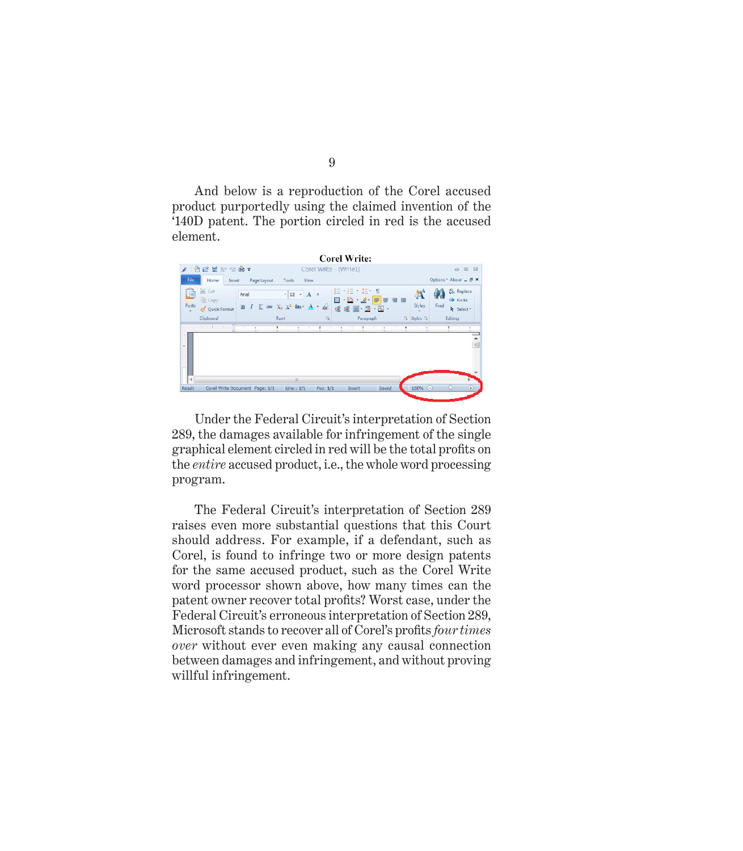And below is a reproduction of the Corel accused product purportedly using the claimed invention of the '140D patent. The portion circled in red is the accused element.

|                                              | 18842987                             |                                |                                                                         |                  |                                                           |                   |                                                         |
|----------------------------------------------|--------------------------------------|--------------------------------|-------------------------------------------------------------------------|------------------|-----------------------------------------------------------|-------------------|---------------------------------------------------------|
|                                              |                                      |                                |                                                                         |                  | Corel Write - [Write1]                                    |                   | 旧<br>$\equiv$                                           |
| File.                                        | Home<br><b>Insert</b>                | Page Layout                    | Tools<br><b>View</b>                                                    |                  |                                                           |                   | Options* About _ & X                                    |
| Paste                                        | % Cut<br><b>Copy</b><br>Quick Format | Arial<br>$\mathbf{B}$          | $\cdot$ 12 $\cdot$ A A<br>$U \Rightarrow X_2 \times Y_1$ like $A = A_2$ |                  | 目相非相<br>$\mathbf{H}$ $\mathbf{B}$ $\mathbf{A}$<br>信任圏道・国・ | A<br>Styles       | <b>Co</b> Replace<br>GQ.<br>Go to<br>Find<br>P Select - |
|                                              | Clipboard<br>s.                      |                                | Font                                                                    | $\Gamma_{\rm M}$ | Paragraph<br>٠                                            | Fa Styles Fa<br>٠ | Editing<br>Ŧ                                            |
| $\sim$<br>$\overline{\phantom{a}}$<br>$\sim$ |                                      |                                |                                                                         |                  |                                                           |                   |                                                         |
| $\overline{4}$                               |                                      | Corel Write Document Page: 1/1 | a.<br>Line:: 1/1                                                        | Pos: 1/1         | Saved<br>Insert                                           | 100% (-)          | G)                                                      |

Under the Federal Circuit's interpretation of Section 289, the damages available for infringement of the single graphical element circled in red will be the total profits on the *entire* accused product, i.e., the whole word processing program.

The Federal Circuit's interpretation of Section 289 raises even more substantial questions that this Court should address. For example, if a defendant, such as Corel, is found to infringe two or more design patents for the same accused product, such as the Corel Write word processor shown above, how many times can the patent owner recover total profits? Worst case, under the Federal Circuit's erroneous interpretation of Section 289, Microsoft stands to recover all of Corel's profits *four times over* without ever even making any causal connection between damages and infringement, and without proving willful infringement.